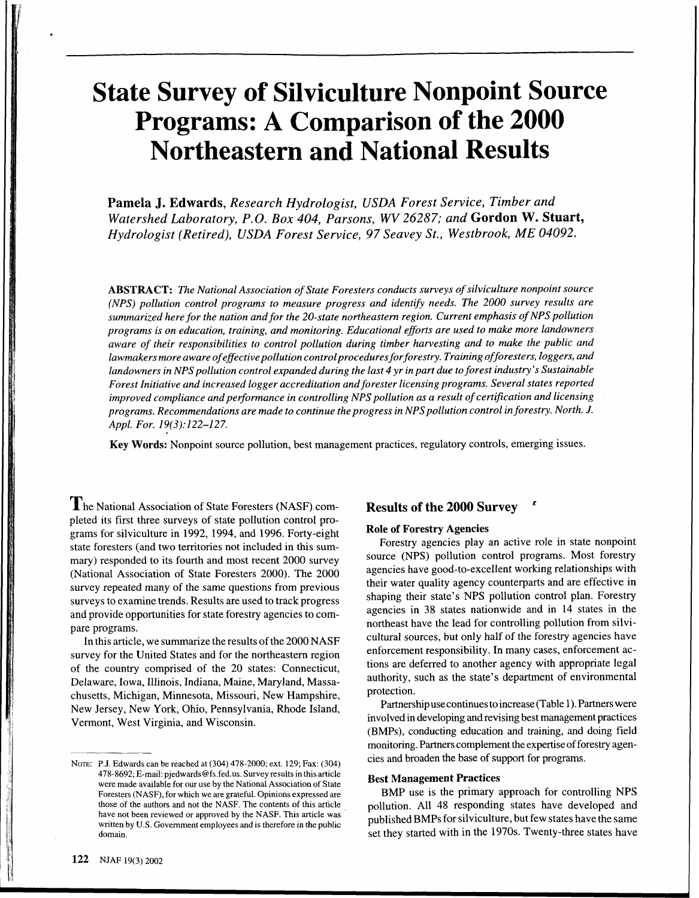# **State Survey of Silviculture Nonpoint Source Programs: A Comparison of the 2000 Northeastern and National Results**

**Pamela J. Edwards,** *Research Hydrologist, USDA Forest Service, Timber and Watershed Laboratory, P.O. Box 404, Parsons, WV 26287; and* **Gordon** *W.* **Stuart,**  *Hydrologist (Retired), USDA Forest Service, 97 Seavey St., Westbrook, ME 04092.* 

*ABSTRACT: The National Association of State Foresters conducts surveys of silviculture nonpoint source (NPS) pollution control programs to measure progress and identify needs. The 2000 survey results are summarized here for the nation and for the 20-state northeastern region. Current emphasis of NPS pollution programs is on education, training, and monitoring. Educational efforts are used to make more landowners aware of their responsibilities to control pollution during timber harvesting and to make the public and lawmakers more aware of efective pollution control procedures forforestry. Training offoresters, loggers, and landowners in NPS pollution control expanded during the last 4 yr in part due to forest industry's Sustainable Forest Initiative and increased logger accreditation and forester licensing programs. Several states reported improved compliance and performance in controlling NPS pollution as a result of certification and licensing programs. Recommendations are made to continue the progress in NPS pollution control in forestry. North. J. Appl. For. 19(3):122-127.* 

**Key Words:** Nonpoint source pollution, best management practices, regulatory controls, emerging issues.

The National Association of State Foresters (NASF) completed its first three surveys of state pollution control programs for silviculture in 1992, 1994, and 1996. Forty-eight state foresters (and two territories not included in this summary) responded to its fourth and most recent 2000 survey (National Association of State Foresters 2000). The 2000 survey repeated many of the same questions from previous surveys to examine trends. Results are used to track progress and provide opportunities for state forestry agencies to compare programs.

In this article, we summarize the results of the 2000 NASF survey for the United States and for the northeastern region of the country comprised of the 20 states: Connecticut, Delaware, Iowa, Illinois, Indiana, Maine, Maryland, Massachusetts, Michigan, Minnesota, Missouri, New Hampshire, New Jersey, New York, Ohio, Pennsylvania, Rhode Island, Vermont, West Virginia, and Wisconsin.

# **Results of the 2000 Survey** '

### **Role of Forestry Agencies**

Forestry agencies play an active role in state nonpoint source (NPS) pollution control programs. Most forestry agencies have good-to-excellent working relationships with their water quality agency counterparts and are effective in shaping their state's NPS pollution control plan. Forestry agencies in 38 states nationwide and in 14 states in the northeast have the lead for controlling pollution from silvicultural sources, but only half of the forestry agencies have enforcement responsibility. In many cases, enforcement actions are deferred to another agency with appropriate legal authority, such as the state's department of environmental protection.

Partnership use continues to increase (Table 1). Partners were involved in developing and revising best management practices (BMPs), conducting education and training, and doing field monitoring. Partners complement the expertise of forestry agencies and broaden the base of support for programs.

# **Best Management Practices**

BMP use is the primary approach for controlling NPS pollution. All 48 responding states have developed and published BMPs for silviculture, but few states have the same set they started with in the 1970s. Twenty-three states have

NOTE: P.J. Edwards can be reached at (304) 478-2000; ext. 129; Fax: (304) 478-8692; E-mail: pjedwards@fs.fed.us. Survey results in this article were made available for our use by the National Association of State Foresters (NASF), for which we are grateful. Opinions expressed are those of the authors and not the NASF. The contents of this article have not been reviewed or approved by the NASF. This article was written by U.S. Government employees and is therefore in the public domain.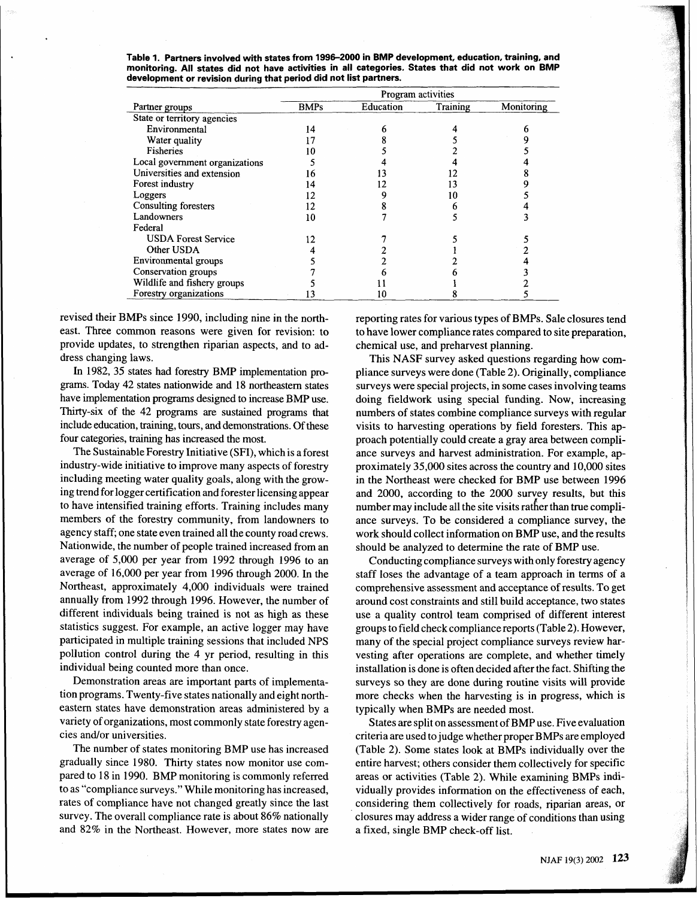Table 1. Partners involved with states from 1996-2000 in BMP development, education, training, and **monitoring. All states did not have activities in all categories. States that did not work on BMP development or revision during that period did not list partners.** 

|                                | Program activities |           |          |            |
|--------------------------------|--------------------|-----------|----------|------------|
| Partner groups                 | <b>BMPs</b>        | Education | Training | Monitoring |
| State or territory agencies    |                    |           |          |            |
| Environmental                  | 14                 | n         |          |            |
| Water quality                  |                    |           |          |            |
| <b>Fisheries</b>               | 10                 |           |          |            |
| Local government organizations |                    |           |          |            |
| Universities and extension     | 16                 |           |          |            |
| Forest industry                | 14                 |           |          |            |
| Loggers                        | 12                 |           | 10       |            |
| Consulting foresters           | 12                 |           |          |            |
| Landowners                     | 10                 |           |          |            |
| Federal                        |                    |           |          |            |
| <b>USDA Forest Service</b>     | 12                 |           |          |            |
| Other USDA                     |                    |           |          |            |
| Environmental groups           |                    |           |          |            |
| Conservation groups            |                    |           |          |            |
| Wildlife and fishery groups    |                    |           |          |            |
| Forestry organizations         |                    |           |          |            |

revised their BMPs since 1990, including nine in the northeast. Three common reasons were given for revision: to provide updates, to strengthen riparian aspects, and to address changing laws.

In 1982, 35 states had forestry BMP implementation pro**grams.** Today 42 states nationwide and 18 northeastern states have implementation programs designed to increase BMP use. Thirty-six of the 42 programs are sustained programs that include education, training, tours, and demonstrations. Of these four categories, training has increased the most.

The Sustainable Forestry Initiative (SFI), which is a forest industry-wide initiative to improve many aspects of forestry including meeting water quality goals, along with the growing trend for logger certification and forester licensing appear to have intensified training efforts. Training includes many members of the forestry community, from landowners to agency staff; one state even trained all the county road crews. Nationwide, the number of people trained increased from an average of 5,000 per year from 1992 through 1996 to an average of 16,000 per year from 1996 through 2000. In the Northeast, approximately 4,000 individuals were trained annually from 1992 through 1996. However, the number of different individuals being trained is not as high as these statistics suggest. For example, an active logger may have participated in multiple training sessions that included NPS pollution control during the 4 yr period, resulting in this individual being counted more than once.

Demonstration areas are important parts of implementation programs. Twenty-five states nationally and eight northeastern states have demonstration areas administered by a variety of organizations, most commonly state forestry agencies and/or universities.

The number of states monitoring BMP use has increased gradually since 1980. Thirty states now monitor use compared to 18 in 1990. BMP monitoring is commonly referred to as "compliance surveys." While monitoring has increased, rates of compliance have not changed greatly since the last survey. The overall compliance rate is about 86% nationally and 82% in the Northeast. However, more states now are

reporting rates for various types of BMPs. Sale closures tend to have lower compliance rates compared to site preparation, chemical use, and preharvest planning.

This NASF survey asked questions regarding how compliance surveys were done (Table 2). Originally, compliance surveys were special projects, in some cases involving teams doing fieldwork using special funding. Now, increasing numbers of states combine compliance surveys with regular visits to harvesting operations by field foresters. This approach potentially could create a gray area between compliance surveys and harvest administration. For example, approximately 35,000 sites across the country and 10,000 sites in the Northeast were checked for BMP use between 1996 and 2000, according to the 2000 survey results, but this number may include all the site visits rather than true compliance surveys. To be considered a compliance survey, the work should collect information on BMP use, and the results should be analyzed to determine the rate of BMP use.

Conducting compliance surveys with only forestry agency staff loses the advantage of a team approach in terms of a comprehensive assessment and acceptance of results. To get around cost constraints and still build acceptance, two states use a quality control team comprised of different interest groups to field check compliance reports (Table 2). However, many of the special project compliance surveys review harvesting after operations are complete, and whether timely installation is done is often decided after the fact. Shifting the surveys so they are done during routine visits will provide more checks when the harvesting is in progress, which is typically when BMPs are needed most.

States are split on assessment of BMP use. Five evaluation criteria are used to judge whether proper BMPs are employed (Table 2). Some states look at BMPs individually over the entire harvest; others consider them collectively for specific areas or activities (Table 2). While examining BMPs individually provides information on the effectiveness of each, considering them collectively for roads, riparian areas, or closures may address a wider range of conditions than using a fixed, single BMP check-off list.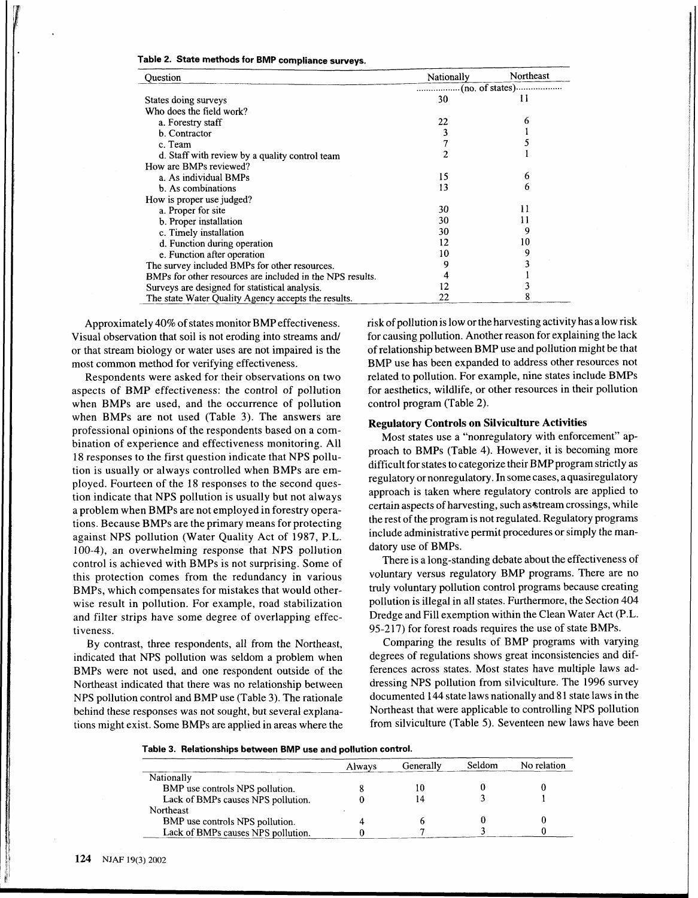| rable 2. State methods for BMP compliance surveys |  |
|---------------------------------------------------|--|
|---------------------------------------------------|--|

| Ouestion                                                  | Nationally | Northeast |
|-----------------------------------------------------------|------------|-----------|
|                                                           |            |           |
| States doing surveys                                      | 30         | Н         |
| Who does the field work?                                  |            |           |
| a. Forestry staff                                         | 22         | 6         |
| b. Contractor                                             |            |           |
| c. Team                                                   |            |           |
| d. Staff with review by a quality control team            | 2          |           |
| How are BMPs reviewed?                                    |            |           |
| a. As individual BMPs                                     | 15         | 6         |
| b. As combinations                                        | 13         | 6         |
| How is proper use judged?                                 |            |           |
| a. Proper for site                                        | 30         | 11        |
| b. Proper installation                                    | 30         |           |
| c. Timely installation                                    | 30         | 9         |
| d. Function during operation                              | 12         | 10        |
| e. Function after operation                               | 10         | 9         |
| The survey included BMPs for other resources.             | 9          |           |
| BMPs for other resources are included in the NPS results. |            |           |
| Surveys are designed for statistical analysis.            | 12         |           |
| The state Water Quality Agency accepts the results.       | 22         | 8         |

aspects of BMP effectiveness: the control of pollution for aesthetics, wildlife, or other resources in their pollution when BMPs are used, and the occurrence of pollution control program (Table 2). when BMPs are not used (Table 3). The answers are professional opinions of the respondents based on a combination of experience and effectiveness monitoring. All 18 responses to the first question indicate that NPS pollution is usually or always controlled when BMPs are employed. Fourteen of the 18 responses to the second question indicate that NPS pollution is usually but not always a problem when BMPs are not employed in forestry operations. Because BMPs are the primary means for protecting against NPS pollution (Water Quality Act of 1987, P.L. 100-4), an overwhelming response that NPS pollution control is achieved with BMPs is not surprising. Some of this protection comes from the redundancy in various BMPs, which compensates for mistakes that would otherwise result in pollution. For example, road stabilization and filter strips have some degree of overlapping effectiveness.

By contrast, three respondents, all from the Northeast, indicated that NPS pollution was seldom a problem when BMPs were not used, and one respondent outside of the Northeast indicated that there was no relationship between NPS pollution control and BMP use (Table 3). The rationale behind these responses was not sought, but several explanations might exist. Some BMPs are applied in areas where the

Approximately 40% of states monitor BMP effectiveness. risk of pollution is low or the harvesting activity has a low risk Visual observation that soil is not eroding into streams and/ for causing pollution. Another reason for explaining the lack or that stream biology or water uses are not impaired is the of relationship between BMP use and pollution might be that most common method for verifying effectiveness. BMP use has been expanded to address other resources not Respondents were asked for their observations on two related to pollution. For example, nine states include BMPs

# **Regulatory Controls on Silviculture Activities**

Most states use a "nonregulatory with enforcement" approach to BMPs (Table 4). However, it is becoming more difficult for states to categorize their BMP program strictly as regulatory or nonregulatory . In some cases, aquasiregulatory approach is taken where regulatory controls are applied to certain aspects of harvesting, such as stream crossings, while the rest of the program is not regulated. Regulatory programs include administrative permit procedures or simply the mandatory use of BMPs.

There is a long-standing debate about the effectiveness of voluntary versus regulatory BMP programs. There are no truly voluntary pollution control programs because creating pollution is illegal in all states. Furthermore, the Section 404 Dredge and Fill exemption within the Clean Water Act (P.L. 95-217) for forest roads requires the use of state BMPs.

Comparing the results of BMP programs with varying degrees of regulations shows great inconsistencies and differences across states. Most states have multiple laws addressing NPS pollution from silviculture. The 1996 survey documented 144 state laws nationally and 81 state laws in the Northeast that were applicable to controlling NPS pollution from silviculture (Table 5). Seventeen new laws have been

**Table 3. Relationships between BMP use and pollution control.** 

|                                    | Always | Generally | Seldom <sup>®</sup> | No relation |
|------------------------------------|--------|-----------|---------------------|-------------|
| Nationally                         |        |           |                     |             |
| BMP use controls NPS pollution.    |        |           |                     |             |
| Lack of BMPs causes NPS pollution. |        |           |                     |             |
| Northeast                          |        |           |                     |             |
| BMP use controls NPS pollution.    |        |           |                     |             |
| Lack of BMPs causes NPS pollution. |        |           |                     |             |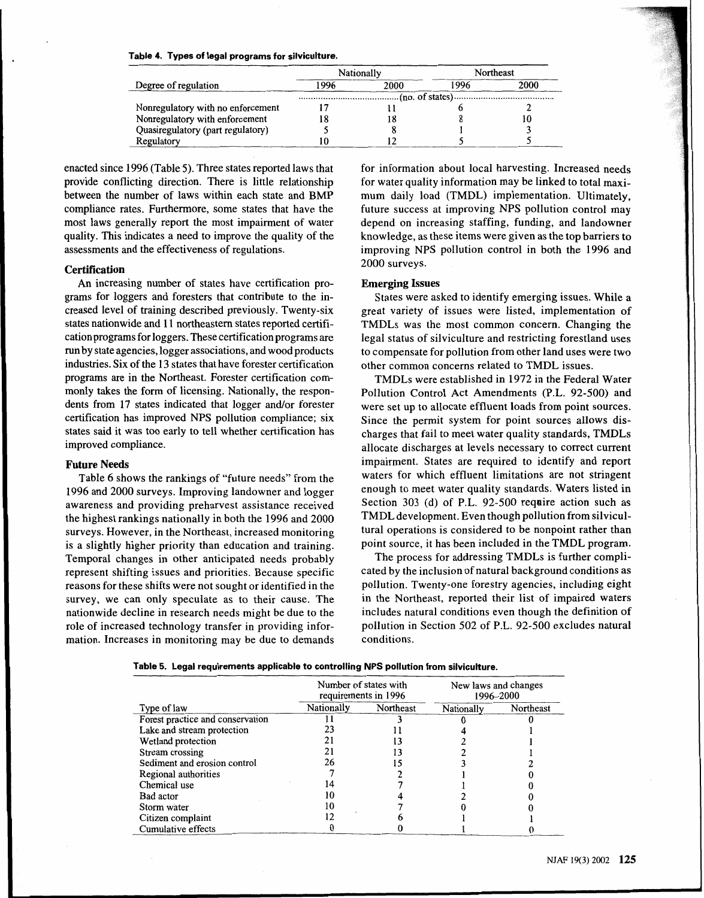| Table 4. Types of legal programs for silviculture. |  |
|----------------------------------------------------|--|
|----------------------------------------------------|--|

|                                   |      | Nationally |      | Northeast |
|-----------------------------------|------|------------|------|-----------|
| Degree of regulation              | 1996 | 2000       | 1996 | 2000      |
|                                   |      |            |      |           |
| Nonregulatory with no enforcement |      |            |      |           |
| Nonregulatory with enforcement    |      |            |      | 10        |
| Quasiregulatory (part regulatory) |      |            |      |           |
| Regulatory                        |      |            |      |           |

enacted since 1996 (Table 5). Three states reported laws that for information about local harvesting. Increased needs provide conflicting direction. There is little relationship for water quality information may be linked to total maxi-<br>between the number of laws within each state and BMP mum daily load (TMDL) implementation. Ultimately. compliance rates. Furthermore, some states that have the future success at improving NPS pollution control may most laws generally report the most impairment of water depend on increasing staffing, funding, and landowner quality. This indicates a need to improve the quality of the knowledge, as these items were given as the top barriers to assessments and the effectiveness of regulations. improving NPS pollution control in both the 1996 and

An increasing number of states have certification pro- **Emerging Issues**  grams for loggers and foresters that contribute to the increased level of training described previously. Twenty-six states nationwide and 11 northeastern states reported certification programs for loggers. These certification programs are run by state agencies, logger associations, and wood products industries. Six of the 13 states that have forester certification programs are in the Northeast. Forester certification commonly takes the form of licensing. Nationally, the respondents from 17 states indicated that logger and/or forester certification has improved NPS pollution compliance; six states said it was too early to tell whether certification has improved compliance.

### **Future Needs**

Table 6 shows the rankings of "future needs" from the 1996 and 2000 surveys. Improving landowner and logger awareness and providing preharvest assistance received the highest rankings nationally in both the 1996 and 2000 surveys. However, in the Northeast, increased monitoring is a slightly higher priority than education and training. Temporal changes in other anticipated needs probably represent shifting issues and priorities. Because specific reasons for these shifts were not sought or identified in the survey, we can only speculate as to their cause. The nationwide decline in research needs might be due to the role of increased technology transfer in providing information. Increases in monitoring may be due to demands

mum daily load (TMDL) implementation. Ultimately, **Certification** 2000 surveys.

states were asked to identify emerging issues. While a great variety of issues were listed, implementation of TMDLs was the most common concern. Changing the legal status of silviculture and restricting forestland uses to compensate for pollution from other land uses were two other common concerns related to TMDL issues.

TMDLs were established in 1972 in the Federal Water Pollution Control Act Amendments (P.L. 92-500) and were set up to allocate effluent loads from point sources. Since the permit system for point sources allows discharges that fail to meet water quality standards, TMDLs allocate discharges at levels necessary to correct current impairment. States are required to identify and report waters for which effluent limitations are not stringent enough to meet water quality standards. Waters listed in Section 303 (d) of P.L. 92-500 reqaire action such as TMDL development. Even though pollution from silvicultural operations is considered to be nonpoint rather than point source, it has been included in the TMDL program.

The process for addressing TMDLs is further complicated by the inclusion of natural background conditions as pollution. Twenty-one forestry agencies, including eight in the Northeast, reported their list of impaired waters includes natural conditions even though the definition of pollution in Section 502 of P.L. 92-500 excludes natural conditions.

|  |  |  |  |  |  |  | Table 5.  Legal requirements applicable to controlling NPS pollution from silviculture. |
|--|--|--|--|--|--|--|-----------------------------------------------------------------------------------------|
|--|--|--|--|--|--|--|-----------------------------------------------------------------------------------------|

| ed technology transfer in providing infor-<br>ses in monitoring may be due to demands<br>Table 5. Legal requirements applicable to controlling NPS pollution from silviculture. |                                               | conditions. |            | pollution in Section 502 of P.L. 92-500 exc |
|---------------------------------------------------------------------------------------------------------------------------------------------------------------------------------|-----------------------------------------------|-------------|------------|---------------------------------------------|
|                                                                                                                                                                                 | Number of states with<br>requirements in 1996 |             |            | New laws and changes<br>1996-2000           |
| Type of law                                                                                                                                                                     | Nationally                                    | Northeast   | Nationally | Northeast                                   |
| Forest practice and conservation                                                                                                                                                |                                               |             |            |                                             |
| Lake and stream protection                                                                                                                                                      | 23                                            |             |            |                                             |
| Wetland protection                                                                                                                                                              | 21                                            |             |            |                                             |
| Stream crossing                                                                                                                                                                 | 21                                            | 13          |            |                                             |
| Sediment and erosion control                                                                                                                                                    | 26                                            | 15          |            |                                             |
| Regional authorities                                                                                                                                                            |                                               |             |            |                                             |
| Chemical use                                                                                                                                                                    | 14                                            |             |            |                                             |
| Bad actor                                                                                                                                                                       | 10                                            |             |            |                                             |
| Storm water                                                                                                                                                                     | 10                                            |             |            |                                             |
| Citizen complaint                                                                                                                                                               | 12                                            |             |            |                                             |
| Cumulative effects                                                                                                                                                              |                                               |             |            |                                             |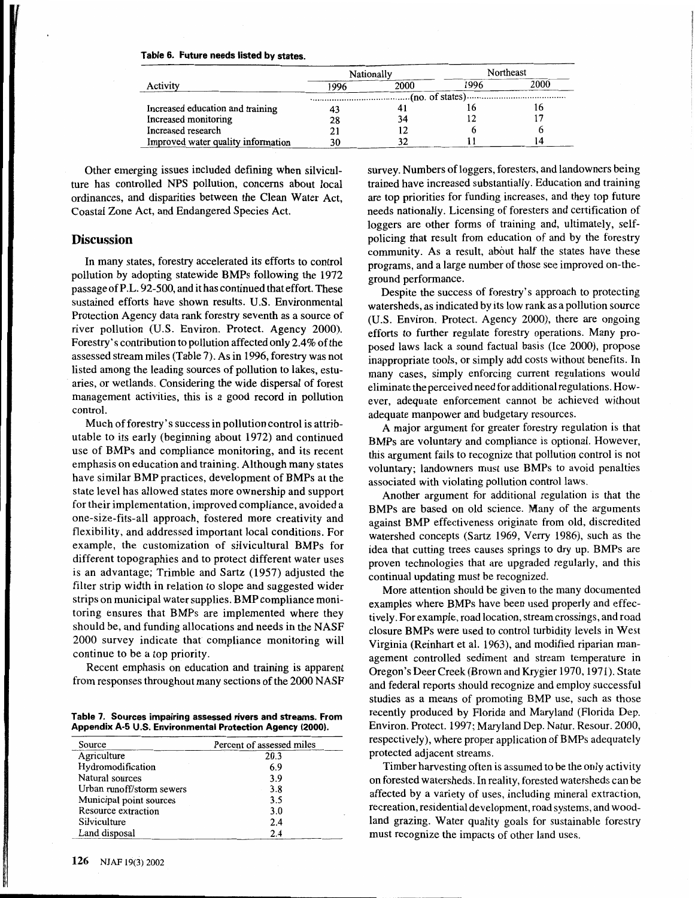| Table 6. Future needs listed by states. |  |  |  |
|-----------------------------------------|--|--|--|
|                                         |  |  |  |

|                                    | Nationally |      |      | Northeast |
|------------------------------------|------------|------|------|-----------|
| Activity                           | 1996       | 2000 | 1996 | 2000      |
|                                    |            |      |      |           |
| Increased education and training   |            |      |      |           |
| Increased monitoring               | 28         | 34   |      |           |
| Increased research                 |            |      |      |           |
| Improved water quality information | 30         |      |      | 14        |

Other emerging issues included defining when silviculture has controlled NPS pollution, concerns about local ordinances, and disparities between the Clean Water Act, Coastal Zone Act, and Endangered Species Act.

## **Discussion**

In many states, forestry accelerated its efforts to control pollution by adopting statewide BMPs following the 1972 passage of P.L. 92-500, and it has continued that effort. These sustained efforts have shown results. U.S. Environmental Protection Agency data rank forestry seventh as a source of river pollution (U.S. Environ. Protect. Agency 2000). Forestry's contribution to pollution affected only 2.4% of the assessed stream miles (Table 7). As in 1996, forestry was not listed among the leading sources of pollution to lakes, estuaries, or wetlands. Considering the wide dispersal of forest management activities, this is a good record in pollution control.

Much of forestry's success in pollution control is attributable to its early (beginning about 1972) and continued use of BMPs and compliance monitoring, and its recent emphasis on education and training. Although many states have similar BMP practices, development of BMPs at the state level has allowed states more ownership and support for their implementation, improved compliance, avoided a one-size-fits-all approach, fostered more creativity and flexibility, and addressed important local conditions. For example, the customization of silvicultural BMPs for different topographies and to protect different water uses is an advantage; Trimble and Sartz (1957) adjusted the filter strip width in relation to slope and suggested wider strips on municipal water supplies. BMP compliance monitoring ensures that BMPs are implemented where they should be, and funding allocations and needs in the NASF 2000 survey indicate that compliance monitoring will continue to be a top priority.

Recent emphasis on education and training is apparent from responses throughout many sections of the 2000 NASF

| Source                    | Percent of assessed miles |
|---------------------------|---------------------------|
| Agriculture               | 20.3                      |
| Hydromodification         | 6.9                       |
| Natural sources           | 3.9                       |
| Urban runoff/storm sewers | 3.8                       |
| Municipal point sources   | 3.5                       |
| Resource extraction       | 3.0                       |
| Silviculture              | 2.4                       |
| Land disposal             | 2.4                       |

survey. Numbers of loggers, foresters, and landowners being trained have increased substantially. Education and training are top priorities for funding increases, and they top future needs nationally. Licensing of foresters and certification of loggers are other forms of training and, ultimately, selfpolicing that result from education of and by the forestry community. As a result, about half the states have these programs, and a large number of those see improved on-theground performance.

Despite the success of forestry's approach to protecting watersheds, as indicated by its low rank as a pollution source (U.S. Environ. Protect. Agency 2000), there are ongoing efforts to further regulate forestry operations. Many proposed laws lack a sound factual basis (Ice 2000), propose inappropriate tools, or simply add costs without benefits. In many cases, simply enforcing current regulations would eliminate the perceived need for additional regulations. However, adequate enforcement cannot be achieved without adequate manpower and budgetary resources.

A major argument for greater forestry regulation is that BMPs are voluntary and compliance is optional. However, this argument fails to recognize that pollution control is not voluntary; landowners must use BMPs to avoid penalties associated with violating pollution control laws.

Another argument for additional regulation is that the BMPs are based on old science. Many of the arguments against BMP effectiveness originate from old, discredited watershed concepts (Sartz 1969, Verry 1986), such as the idea that cutting trees causes springs to dry up. BMPs are proven technologies that are upgraded regularly, and this continual updating must be recognized.

More attention should be given to the many documented examples where BMPs have been used properly and effectively. For example, road location, stream crossings, and road closure BMPs were used to control turbidity levels in West Virginia (Reinhart et al. 1963), and modified riparian management controlled sediment and stream temperature in Oregon's Deer Creek (Brown and Krygier 1970, 1971). State and federal reports should recognize and employ successful studies as a means of promoting BMP use, such as those Table 7. Sources impairing assessed rivers and streams. From recently produced by Florida and Maryland (Florida Dep. **Appendix A-5 U.S. Environmental Protection Agency (2000).** Environ. Protect. 1997; Maryland Dep. Natur. Resour. 2000, respectively), where proper application of BMPs adequately protected adjacent streams.

> Timber harvesting often is assumed to be the only activity on forested watersheds. In reality, forested watersheds can be affected by a variety of uses, including mineral extraction, recreation, residential development, road systems, and woodland grazing. Water quality goals for sustainable forestry must recognize the impacts of other land uses.